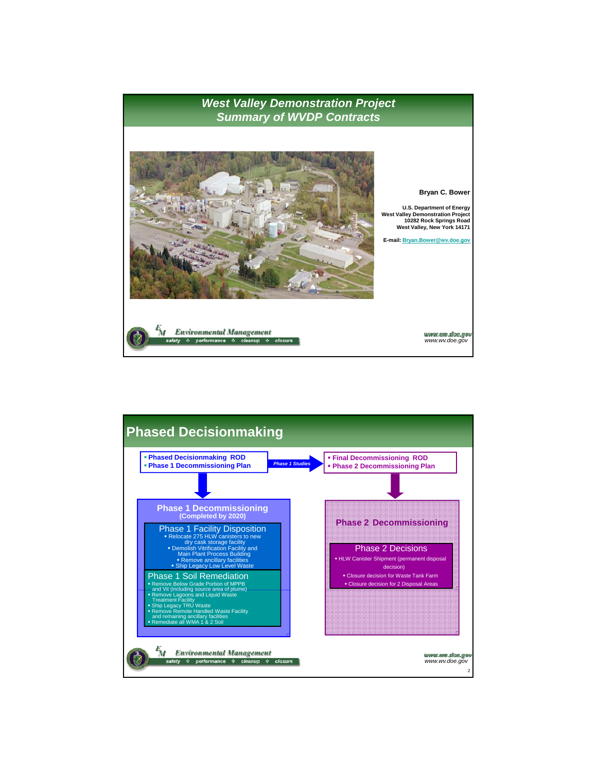

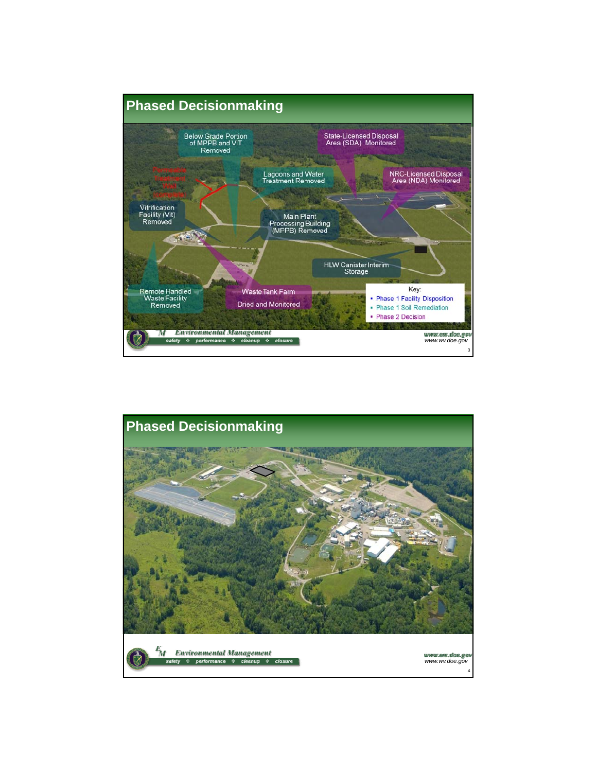

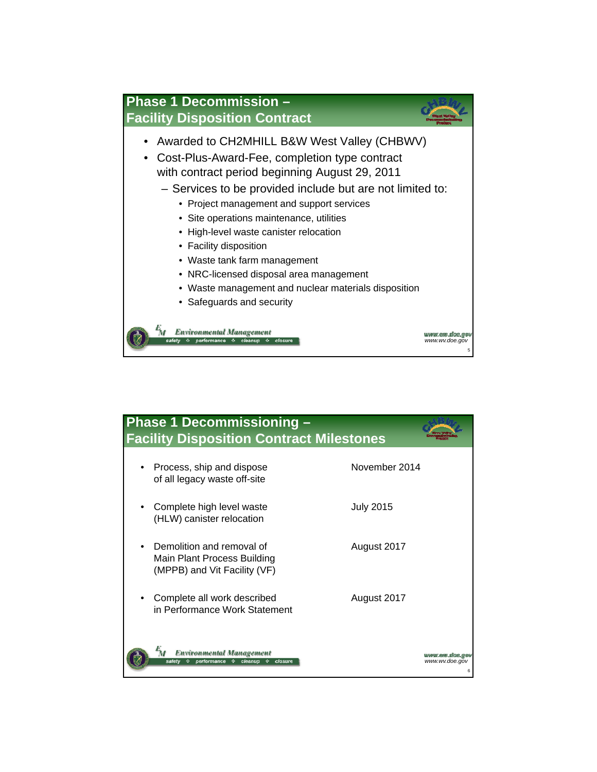

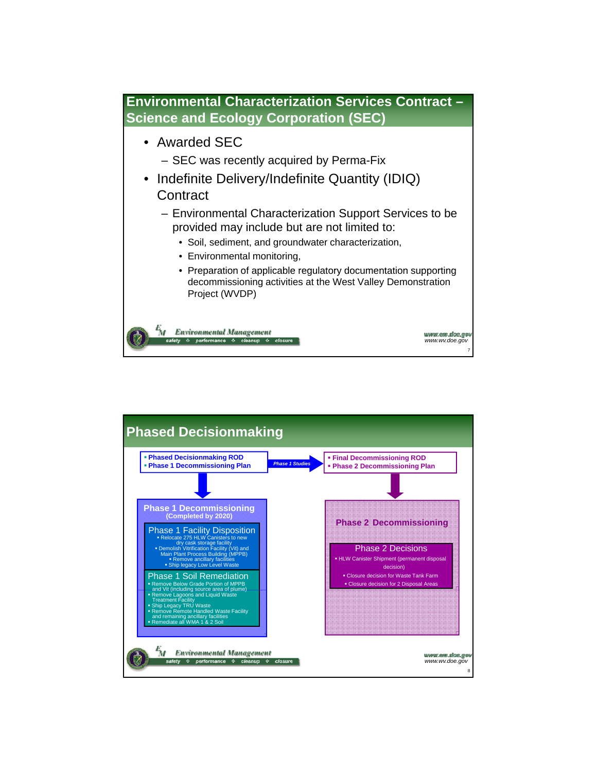

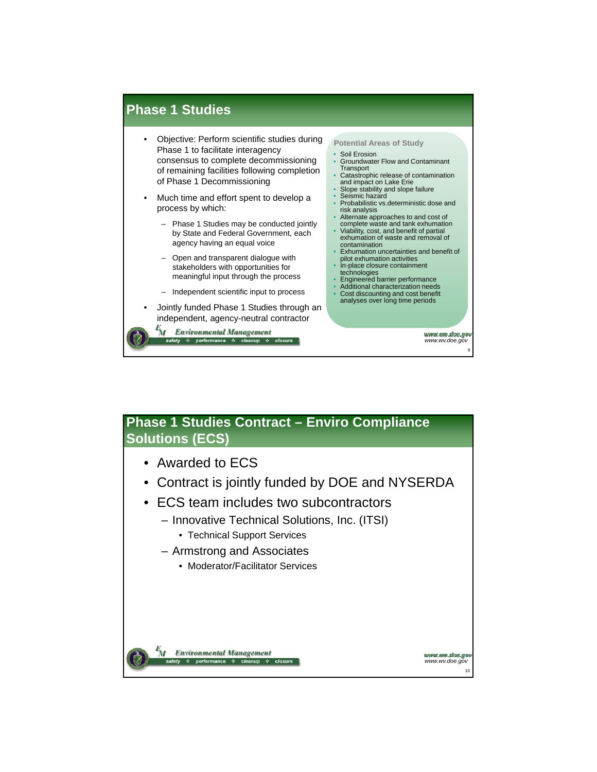

## **Phase 1 Studies Contract – Enviro Compliance Solutions (ECS)**

- Awarded to ECS
- Contract is jointly funded by DOE and NYSERDA
- ECS team includes two subcontractors ECS team includes two
	- Innovative Technical Solutions, Inc. (ITSI)
		- Technical Support Services
	- Armstrong and Associates
		- Moderator/Facilitator Services